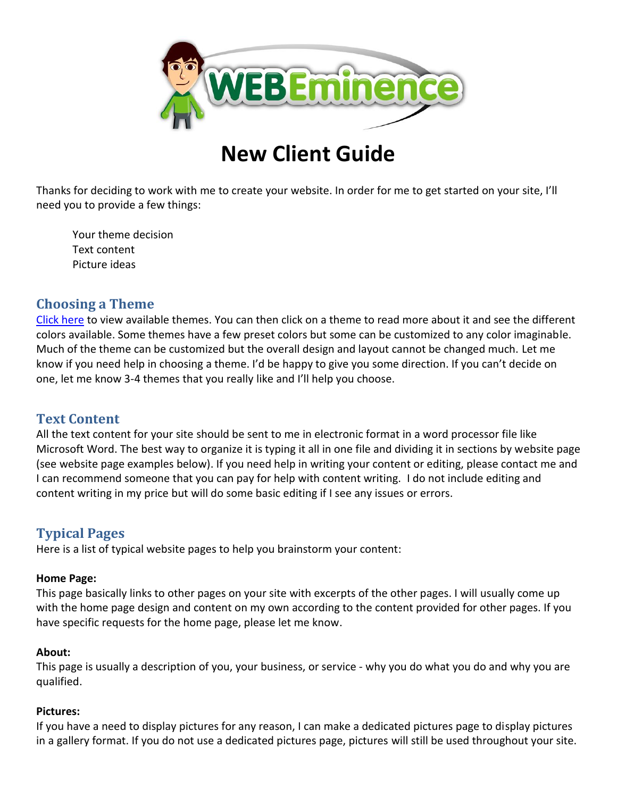

# **New Client Guide**

Thanks for deciding to work with me to create your website. In order for me to get started on your site, I'll need you to provide a few things:

Your theme decision Text content Picture ideas

## **Choosing a Theme**

[Click here](http://webeminence.com/themes) to view available themes. You can then click on a theme to read more about it and see the different colors available. Some themes have a few preset colors but some can be customized to any color imaginable. Much of the theme can be customized but the overall design and layout cannot be changed much. Let me know if you need help in choosing a theme. I'd be happy to give you some direction. If you can't decide on one, let me know 3-4 themes that you really like and I'll help you choose.

## **Text Content**

All the text content for your site should be sent to me in electronic format in a word processor file like Microsoft Word. The best way to organize it is typing it all in one file and dividing it in sections by website page (see website page examples below). If you need help in writing your content or editing, please contact me and I can recommend someone that you can pay for help with content writing. I do not include editing and content writing in my price but will do some basic editing if I see any issues or errors.

# **Typical Pages**

Here is a list of typical website pages to help you brainstorm your content:

#### **Home Page:**

This page basically links to other pages on your site with excerpts of the other pages. I will usually come up with the home page design and content on my own according to the content provided for other pages. If you have specific requests for the home page, please let me know.

#### **About:**

This page is usually a description of you, your business, or service - why you do what you do and why you are qualified.

#### **Pictures:**

If you have a need to display pictures for any reason, I can make a dedicated pictures page to display pictures in a gallery format. If you do not use a dedicated pictures page, pictures will still be used throughout your site.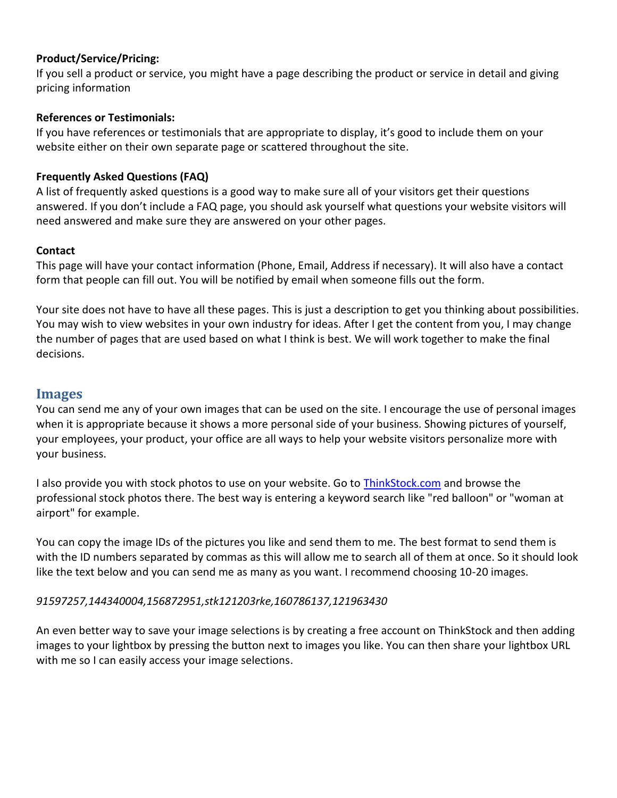#### **Product/Service/Pricing:**

If you sell a product or service, you might have a page describing the product or service in detail and giving pricing information

#### **References or Testimonials:**

If you have references or testimonials that are appropriate to display, it's good to include them on your website either on their own separate page or scattered throughout the site.

#### **Frequently Asked Questions (FAQ)**

A list of frequently asked questions is a good way to make sure all of your visitors get their questions answered. If you don't include a FAQ page, you should ask yourself what questions your website visitors will need answered and make sure they are answered on your other pages.

#### **Contact**

This page will have your contact information (Phone, Email, Address if necessary). It will also have a contact form that people can fill out. You will be notified by email when someone fills out the form.

Your site does not have to have all these pages. This is just a description to get you thinking about possibilities. You may wish to view websites in your own industry for ideas. After I get the content from you, I may change the number of pages that are used based on what I think is best. We will work together to make the final decisions.

### **Images**

You can send me any of your own images that can be used on the site. I encourage the use of personal images when it is appropriate because it shows a more personal side of your business. Showing pictures of yourself, your employees, your product, your office are all ways to help your website visitors personalize more with your business.

I also provide you with stock photos to use on your website. Go to [ThinkStock.com](http://thinkstock.com/) and browse the professional stock photos there. The best way is entering a keyword search like "red balloon" or "woman at airport" for example.

You can copy the image IDs of the pictures you like and send them to me. The best format to send them is with the ID numbers separated by commas as this will allow me to search all of them at once. So it should look like the text below and you can send me as many as you want. I recommend choosing 10-20 images.

#### *91597257,144340004,156872951,stk121203rke,160786137,121963430*

An even better way to save your image selections is by creating a free account on ThinkStock and then adding images to your lightbox by pressing the button next to images you like. You can then share your lightbox URL with me so I can easily access your image selections.